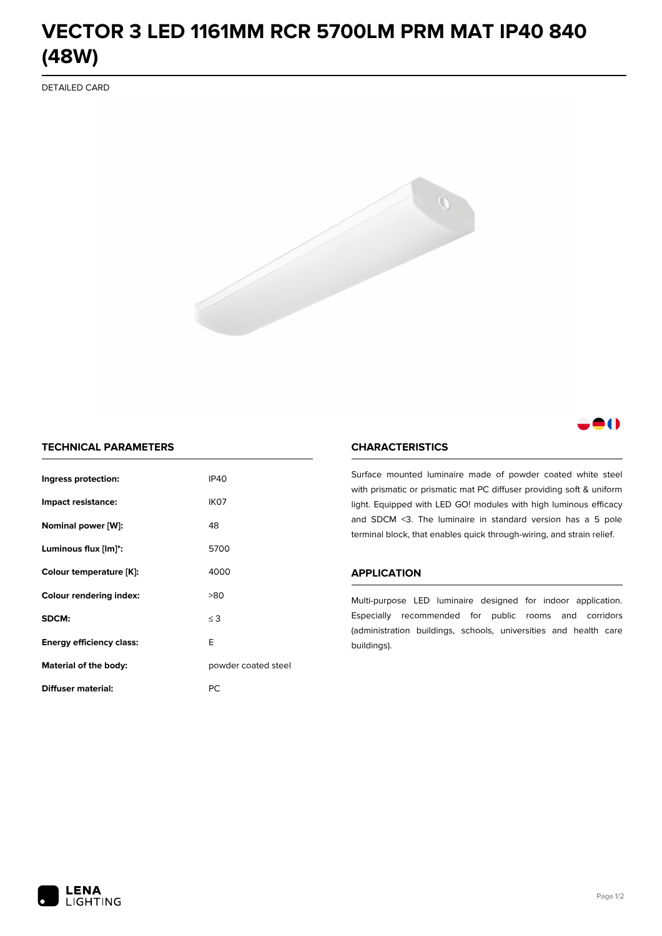# **VECTOR 3 LED 1161MM RCR 5700LM PRM MAT IP40 840 (48W)**

DETAILED CARD



# 80

# **TECHNICAL PARAMETERS**

| Ingress protection:             | <b>IP40</b>         |  |
|---------------------------------|---------------------|--|
| Impact resistance:              | IK <sub>07</sub>    |  |
| Nominal power [W]:              | 48                  |  |
| Luminous flux [lm]*:            | 5700                |  |
| Colour temperature [K]:         | 4000                |  |
| <b>Colour rendering index:</b>  | >80                 |  |
| SDCM:                           | $\leq$ 3            |  |
| <b>Energy efficiency class:</b> | E                   |  |
| Material of the body:           | powder coated steel |  |
| Diffuser material:              | РC                  |  |

### **CHARACTERISTICS**

Surface mounted luminaire made of powder coated white steel with prismatic or prismatic mat PC diffuser providing soft & uniform light. Equipped with LED GO! modules with high luminous efficacy and SDCM <3. The luminaire in standard version has a 5 pole terminal block, that enables quick through-wiring, and strain relief.

#### **APPLICATION**

Multi-purpose LED luminaire designed for indoor application. Especially recommended for public rooms and corridors (administration buildings, schools, universities and health care buildings).